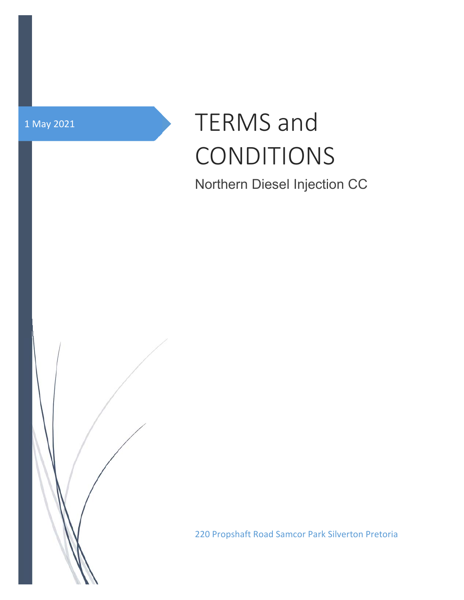

# 1 May 2021 **TERMS** and CONDITIONS

Northern Diesel Injection CC

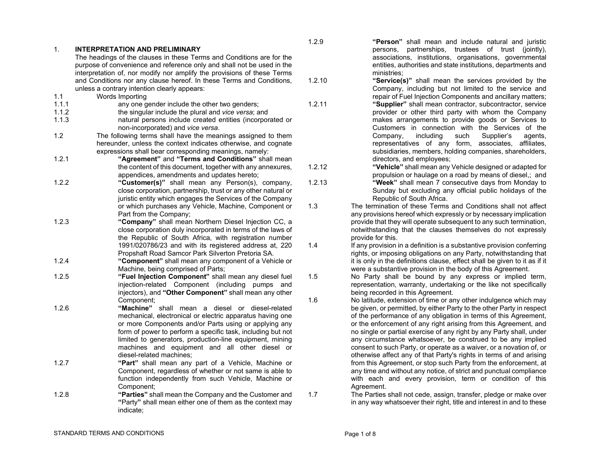| 1.    | <b>INTERPRETATION AND PRELIMINARY</b>                                                                                 |        | persons, partnerships, trustees of trust (jointly),                        |
|-------|-----------------------------------------------------------------------------------------------------------------------|--------|----------------------------------------------------------------------------|
|       | The headings of the clauses in these Terms and Conditions are for the                                                 |        | associations, institutions, organisations, governmental                    |
|       | purpose of convenience and reference only and shall not be used in the                                                |        | entities, authorities and state institutions, departments and              |
|       | interpretation of, nor modify nor amplify the provisions of these Terms                                               |        | ministries:                                                                |
|       | and Conditions nor any clause hereof. In these Terms and Conditions,                                                  | 1.2.10 | "Service(s)" shall mean the services provided by the                       |
|       | unless a contrary intention clearly appears:                                                                          |        | Company, including but not limited to the service and                      |
| 1.1   | Words Importing                                                                                                       |        | repair of Fuel Injection Components and ancillary matters;                 |
| 1.1.1 | any one gender include the other two genders;                                                                         | 1.2.11 | "Supplier" shall mean contractor, subcontractor, service                   |
| 1.1.2 | the singular include the plural and vice versa; and                                                                   |        | provider or other third party with whom the Company                        |
| 1.1.3 | natural persons include created entities (incorporated or                                                             |        | makes arrangements to provide goods or Services to                         |
|       | non-incorporated) and vice versa.                                                                                     |        | Customers in connection with the Services of the                           |
| $1.2$ | The following terms shall have the meanings assigned to them                                                          |        | including<br>Supplier's<br>Company,<br>such<br>agents,                     |
|       | hereunder, unless the context indicates otherwise, and cognate                                                        |        | representatives of any form, associates, affiliates,                       |
|       | expressions shall bear corresponding meanings, namely:                                                                |        | subsidiaries, members, holding companies, shareholders,                    |
| 1.2.1 | "Agreement" and "Terms and Conditions" shall mean                                                                     |        | directors, and employees;                                                  |
|       | the content of this document, together with any annexures,                                                            | 1.2.12 | "Vehicle" shall mean any Vehicle designed or adapted for                   |
|       | appendices, amendments and updates hereto;                                                                            |        | propulsion or haulage on a road by means of diesel,; and                   |
| 1.2.2 | "Customer(s)" shall mean any Person(s), company,                                                                      | 1.2.13 | "Week" shall mean 7 consecutive days from Monday to                        |
|       | close corporation, partnership, trust or any other natural or                                                         |        | Sunday but excluding any official public holidays of the                   |
|       | juristic entity which engages the Services of the Company                                                             |        | Republic of South Africa.                                                  |
|       | or which purchases any Vehicle, Machine, Component or                                                                 | 1.3    | The termination of these Terms and Conditions shall not affect             |
|       | Part from the Company;                                                                                                |        | any provisions hereof which expressly or by necessary implication          |
| 1.2.3 | "Company" shall mean Northern Diesel Injection CC, a                                                                  |        | provide that they will operate subsequent to any such termination,         |
|       |                                                                                                                       |        | notwithstanding that the clauses themselves do not expressly               |
|       | close corporation duly incorporated in terms of the laws of<br>the Republic of South Africa, with registration number |        | provide for this.                                                          |
|       |                                                                                                                       |        |                                                                            |
|       | 1991/020786/23 and with its registered address at, 220                                                                | 1.4    | If any provision in a definition is a substantive provision conferring     |
|       | Propshaft Road Samcor Park Silverton Pretoria SA.                                                                     |        | rights, or imposing obligations on any Party, notwithstanding that         |
| 1.2.4 | "Component" shall mean any component of a Vehicle or                                                                  |        | it is only in the definitions clause, effect shall be given to it as if it |
|       | Machine, being comprised of Parts;                                                                                    |        | were a substantive provision in the body of this Agreement.                |
| 1.2.5 | "Fuel Injection Component" shall mean any diesel fuel                                                                 | 1.5    | No Party shall be bound by any express or implied term,                    |
|       | injection-related Component (including pumps and                                                                      |        | representation, warranty, undertaking or the like not specifically         |
|       | injectors), and "Other Component" shall mean any other                                                                |        | being recorded in this Agreement.                                          |
|       | Component;                                                                                                            | 1.6    | No latitude, extension of time or any other indulgence which may           |
| 1.2.6 | "Machine" shall mean a diesel or diesel-related                                                                       |        | be given, or permitted, by either Party to the other Party in respect      |
|       | mechanical, electronical or electric apparatus having one                                                             |        | of the performance of any obligation in terms of this Agreement,           |
|       | or more Components and/or Parts using or applying any                                                                 |        | or the enforcement of any right arising from this Agreement, and           |
|       | form of power to perform a specific task, including but not                                                           |        | no single or partial exercise of any right by any Party shall, under       |
|       | limited to generators, production-line equipment, mining                                                              |        | any circumstance whatsoever, be construed to be any implied                |
|       | machines and equipment and all other diesel or                                                                        |        | consent to such Party, or operate as a waiver, or a novation of, or        |
|       | diesel-related machines;                                                                                              |        | otherwise affect any of that Party's rights in terms of and arising        |
| 1.2.7 | "Part" shall mean any part of a Vehicle, Machine or                                                                   |        | from this Agreement, or stop such Party from the enforcement, at           |
|       | Component, regardless of whether or not same is able to                                                               |        | any time and without any notice, of strict and punctual compliance         |
|       | function independently from such Vehicle, Machine or                                                                  |        | with each and every provision, term or condition of this                   |
|       | Component;                                                                                                            |        | Agreement.                                                                 |
| 1.2.8 | "Parties" shall mean the Company and the Customer and                                                                 | 1.7    | The Parties shall not cede, assign, transfer, pledge or make over          |
|       | "Party" shall mean either one of them as the context may                                                              |        | in any way whatsoever their right, title and interest in and to these      |
|       | indicate;                                                                                                             |        |                                                                            |
|       |                                                                                                                       |        |                                                                            |

1.2.9 **"Person"** shall mean and include natural and juristic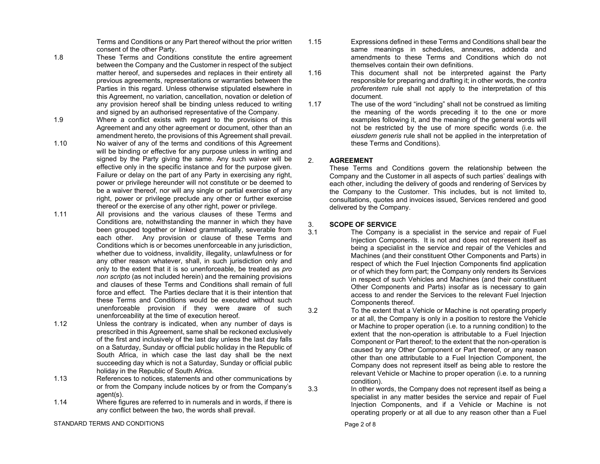Terms and Conditions or any Part thereof without the prior written consent of the other Party.

- 1.8 These Terms and Conditions constitute the entire agreement between the Company and the Customer in respect of the subject matter hereof, and supersedes and replaces in their entirety all previous agreements, representations or warranties between the Parties in this regard. Unless otherwise stipulated elsewhere in this Agreement, no variation, cancellation, novation or deletion of any provision hereof shall be binding unless reduced to writing and signed by an authorised representative of the Company.
- 1.9 Where a conflict exists with regard to the provisions of this Agreement and any other agreement or document, other than an amendment hereto, the provisions of this Agreement shall prevail.
- 1.10 No waiver of any of the terms and conditions of this Agreement will be binding or effective for any purpose unless in writing and signed by the Party giving the same. Any such waiver will be effective only in the specific instance and for the purpose given. Failure or delay on the part of any Party in exercising any right, power or privilege hereunder will not constitute or be deemed to be a waiver thereof, nor will any single or partial exercise of any right, power or privilege preclude any other or further exercise thereof or the exercise of any other right, power or privilege.
- 1.11 All provisions and the various clauses of these Terms and Conditions are, notwithstanding the manner in which they have been grouped together or linked grammatically, severable from each other. Any provision or clause of these Terms and Conditions which is or becomes unenforceable in any jurisdiction, whether due to voidness, invalidity, illegality, unlawfulness or for any other reason whatever, shall, in such jurisdiction only and only to the extent that it is so unenforceable, be treated as *pro non scripto* (as not included herein) and the remaining provisions and clauses of these Terms and Conditions shall remain of full force and effect. The Parties declare that it is their intention that these Terms and Conditions would be executed without such unenforceable provision if they were aware of such unenforceability at the time of execution hereof.
- 1.12 Unless the contrary is indicated, when any number of days is prescribed in this Agreement, same shall be reckoned exclusively of the first and inclusively of the last day unless the last day falls on a Saturday, Sunday or official public holiday in the Republic of South Africa, in which case the last day shall be the next succeeding day which is not a Saturday, Sunday or official public holiday in the Republic of South Africa.
- 1.13 References to notices, statements and other communications by or from the Company include notices by or from the Company's agent(s).
- 1.14 Where figures are referred to in numerals and in words, if there is any conflict between the two, the words shall prevail.

STANDARD TERMS AND CONDITIONS

- 1.15 Expressions defined in these Terms and Conditions shall bear the same meanings in schedules, annexures, addenda and amendments to these Terms and Conditions which do not themselves contain their own definitions.
- 1.16 This document shall not be interpreted against the Party responsible for preparing and drafting it; in other words, the *contra proferentem* rule shall not apply to the interpretation of this document.
- 1.17 The use of the word "including" shall not be construed as limiting the meaning of the words preceding it to the one or more examples following it, and the meaning of the general words will not be restricted by the use of more specific words (i.e. the *eiusdem generis* rule shall not be applied in the interpretation of these Terms and Conditions).

## 2. **AGREEMENT**

These Terms and Conditions govern the relationship between the Company and the Customer in all aspects of such parties' dealings with each other, including the delivery of goods and rendering of Services by the Company to the Customer. This includes, but is not limited to, consultations, quotes and invoices issued, Services rendered and good delivered by the Company.

### 3. **SCOPE OF SERVICE**

- 3.1 The Company is a specialist in the service and repair of Fuel Injection Components. It is not and does not represent itself as being a specialist in the service and repair of the Vehicles and Machines (and their constituent Other Components and Parts) in respect of which the Fuel Injection Components find application or of which they form part; the Company only renders its Services in respect of such Vehicles and Machines (and their constituent Other Components and Parts) insofar as is necessary to gain access to and render the Services to the relevant Fuel Injection Components thereof.
- 3.2 To the extent that a Vehicle or Machine is not operating properly or at all, the Company is only in a position to restore the Vehicle or Machine to proper operation (i.e. to a running condition) to the extent that the non-operation is attributable to a Fuel Injection Component or Part thereof; to the extent that the non-operation is caused by any Other Component or Part thereof, or any reason other than one attributable to a Fuel Injection Component, the Company does not represent itself as being able to restore the relevant Vehicle or Machine to proper operation (i.e. to a running condition).
- 3.3 In other words, the Company does not represent itself as being a specialist in any matter besides the service and repair of Fuel Injection Components, and if a Vehicle or Machine is not operating properly or at all due to any reason other than a Fuel

Page 2 of 8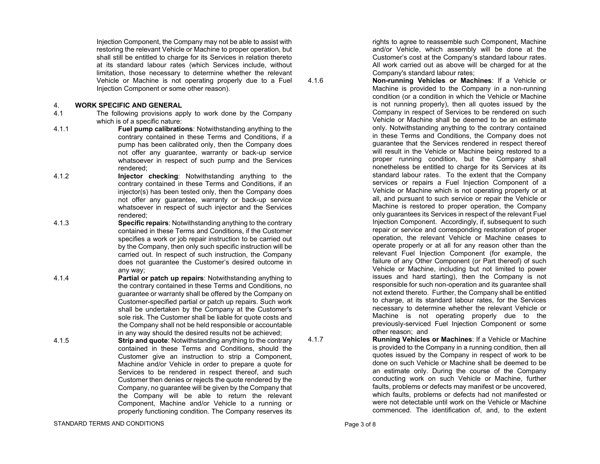Injection Component, the Company may not be able to assist with restoring the relevant Vehicle or Machine to proper operation, but shall still be entitled to charge for its Services in relation thereto at its standard labour rates (which Services include, without limitation, those necessary to determine whether the relevant Vehicle or Machine is not operating properly due to a Fuel Injection Component or some other reason).

## 4. **WORK SPECIFIC AND GENERAL**

- 4.1 The following provisions apply to work done by the Company which is of a specific nature:
- 4.1.1 **Fuel pump calibrations**: Notwithstanding anything to the contrary contained in these Terms and Conditions, if a pump has been calibrated only, then the Company does not offer any guarantee, warranty or back-up service whatsoever in respect of such pump and the Services rendered;
- 4.1.2 **Injector checking**: Notwithstanding anything to the contrary contained in these Terms and Conditions, if an injector(s) has been tested only, then the Company does not offer any guarantee, warranty or back-up service whatsoever in respect of such injector and the Services rendered;
- 4.1.3 **Specific repairs**: Notwithstanding anything to the contrary contained in these Terms and Conditions, if the Customer specifies a work or job repair instruction to be carried out by the Company, then only such specific instruction will be carried out. In respect of such instruction, the Company does not guarantee the Customer's desired outcome in any way;
- 4.1.4 **Partial or patch up repairs**: Notwithstanding anything to the contrary contained in these Terms and Conditions, no guarantee or warranty shall be offered by the Company on Customer-specified partial or patch up repairs. Such work shall be undertaken by the Company at the Customer's sole risk. The Customer shall be liable for quote costs and the Company shall not be held responsible or accountable in any way should the desired results not be achieved;
- 4.1.5 **Strip and quote**: Notwithstanding anything to the contrary contained in these Terms and Conditions, should the Customer give an instruction to strip a Component, Machine and/or Vehicle in order to prepare a quote for Services to be rendered in respect thereof, and such Customer then denies or rejects the quote rendered by the Company, no guarantee will be given by the Company that the Company will be able to return the relevant Component, Machine and/or Vehicle to a running or properly functioning condition. The Company reserves its

rights to agree to reassemble such Component, Machine and/or Vehicle, which assembly will be done at the Customer's cost at the Company's standard labour rates. All work carried out as above will be charged for at the Company's standard labour rates;

4.1.6 **Non-running Vehicles or Machines**: If a Vehicle or Machine is provided to the Company in a non-running condition (or a condition in which the Vehicle or Machine is not running properly), then all quotes issued by the Company in respect of Services to be rendered on such Vehicle or Machine shall be deemed to be an estimate only. Notwithstanding anything to the contrary contained in these Terms and Conditions, the Company does not guarantee that the Services rendered in respect thereof will result in the Vehicle or Machine being restored to a proper running condition, but the Company shall nonetheless be entitled to charge for its Services at its standard labour rates. To the extent that the Company services or repairs a Fuel Injection Component of a Vehicle or Machine which is not operating properly or at all, and pursuant to such service or repair the Vehicle or Machine is restored to proper operation, the Company only guarantees its Services in respect of the relevant Fuel Injection Component. Accordingly, if, subsequent to such repair or service and corresponding restoration of proper operation, the relevant Vehicle or Machine ceases to operate properly or at all for any reason other than the relevant Fuel Injection Component (for example, the failure of any Other Component (or Part thereof) of such Vehicle or Machine, including but not limited to power issues and hard starting), then the Company is not responsible for such non-operation and its guarantee shall not extend thereto. Further, the Company shall be entitled to charge, at its standard labour rates, for the Services necessary to determine whether the relevant Vehicle or Machine is not operating properly due to the previously-serviced Fuel Injection Component or some other reason; and

4.1.7 **Running Vehicles or Machines**: If a Vehicle or Machine is provided to the Company in a running condition, then all quotes issued by the Company in respect of work to be done on such Vehicle or Machine shall be deemed to be an estimate only. During the course of the Company conducting work on such Vehicle or Machine, further faults, problems or defects may manifest or be uncovered, which faults, problems or defects had not manifested or were not detectable until work on the Vehicle or Machine commenced. The identification of, and, to the extent

STANDARD TERMS AND CONDITIONS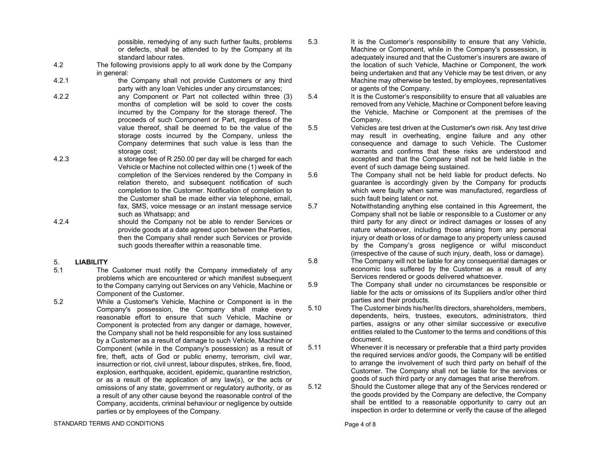possible, remedying of any such further faults, problems or defects, shall be attended to by the Company at its standard labour rates.

- 4.2 The following provisions apply to all work done by the Company in general:
- 4.2.1 the Company shall not provide Customers or any third party with any loan Vehicles under any circumstances;
- 4.2.2 any Component or Part not collected within three (3) months of completion will be sold to cover the costs incurred by the Company for the storage thereof. The proceeds of such Component or Part, regardless of the value thereof, shall be deemed to be the value of the storage costs incurred by the Company, unless the Company determines that such value is less than the storage cost;
- 4.2.3 a storage fee of R 250.00 per day will be charged for each Vehicle or Machine not collected within one (1) week of the completion of the Services rendered by the Company in relation thereto, and subsequent notification of such completion to the Customer. Notification of completion to the Customer shall be made either via telephone, email, fax, SMS, voice message or an instant message service such as Whatsapp; and
- 4.2.4 should the Company not be able to render Services or provide goods at a date agreed upon between the Parties, then the Company shall render such Services or provide such goods thereafter within a reasonable time.

# 5. **LIABILITY**

- 5.1 The Customer must notify the Company immediately of any problems which are encountered or which manifest subsequent to the Company carrying out Services on any Vehicle, Machine or Component of the Customer.
- 5.2 While a Customer's Vehicle, Machine or Component is in the Company's possession, the Company shall make every reasonable effort to ensure that such Vehicle, Machine or Component is protected from any danger or damage, however, the Company shall not be held responsible for any loss sustained by a Customer as a result of damage to such Vehicle, Machine or Component (while in the Company's possession) as a result of fire, theft, acts of God or public enemy, terrorism, civil war, insurrection or riot, civil unrest, labour disputes, strikes, fire, flood, explosion, earthquake, accident, epidemic, quarantine restriction, or as a result of the application of any law(s), or the acts or omissions of any state, government or regulatory authority, or as a result of any other cause beyond the reasonable control of the Company, accidents, criminal behaviour or negligence by outside parties or by employees of the Company.
- STANDARD TERMS AND CONDITIONS
- 5.3 It is the Customer's responsibility to ensure that any Vehicle, Machine or Component, while in the Company's possession, is adequately insured and that the Customer's insurers are aware of the location of such Vehicle, Machine or Component, the work being undertaken and that any Vehicle may be test driven, or any Machine may otherwise be tested, by employees, representatives or agents of the Company.
- 5.4 It is the Customer's responsibility to ensure that all valuables are removed from any Vehicle, Machine or Component before leaving the Vehicle, Machine or Component at the premises of the Company.
- 5.5 Vehicles are test driven at the Customer's own risk. Any test drive may result in overheating, engine failure and any other consequence and damage to such Vehicle. The Customer warrants and confirms that these risks are understood and accepted and that the Company shall not be held liable in the event of such damage being sustained.
- 5.6 The Company shall not be held liable for product defects. No guarantee is accordingly given by the Company for products which were faulty when same was manufactured, regardless of such fault being latent or not.
- 5.7 Notwithstanding anything else contained in this Agreement, the Company shall not be liable or responsible to a Customer or any third party for any direct or indirect damages or losses of any nature whatsoever, including those arising from any personal injury or death or loss of or damage to any property unless caused by the Company's gross negligence or wilful misconduct (irrespective of the cause of such injury, death, loss or damage).
- 5.8 The Company will not be liable for any consequential damages or economic loss suffered by the Customer as a result of any Services rendered or goods delivered whatsoever.
- 5.9 The Company shall under no circumstances be responsible or liable for the acts or omissions of its Suppliers and/or other third parties and their products.
- 5.10 The Customer binds his/her/its directors, shareholders, members, dependents, heirs, trustees, executors, administrators, third parties, assigns or any other similar successive or executive entities related to the Customer to the terms and conditions of this document.
- 5.11 Whenever it is necessary or preferable that a third party provides the required services and/or goods, the Company will be entitled to arrange the involvement of such third party on behalf of the Customer. The Company shall not be liable for the services or goods of such third party or any damages that arise therefrom.
- 5.12 Should the Customer allege that any of the Services rendered or the goods provided by the Company are defective, the Company shall be entitled to a reasonable opportunity to carry out an inspection in order to determine or verify the cause of the alleged

Page 4 of 8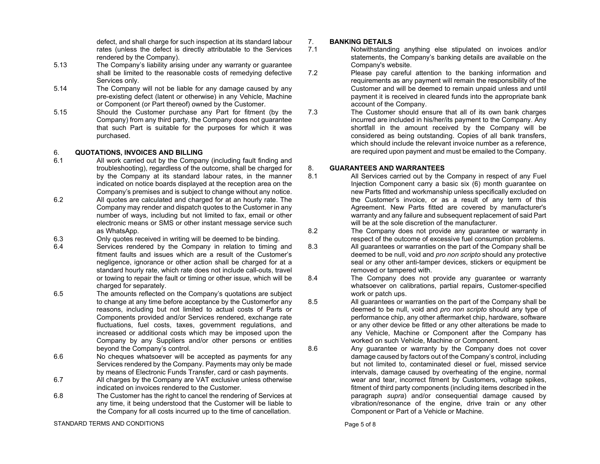defect, and shall charge for such inspection at its standard labour rates (unless the defect is directly attributable to the Services rendered by the Company).

- 5.13 The Company's liability arising under any warranty or guarantee shall be limited to the reasonable costs of remedying defective Services only.
- 5.14 The Company will not be liable for any damage caused by any pre-existing defect (latent or otherwise) in any Vehicle, Machine or Component (or Part thereof) owned by the Customer.
- 5.15 Should the Customer purchase any Part for fitment (by the Company) from any third party, the Company does not guarantee that such Part is suitable for the purposes for which it was purchased.

# 6. **QUOTATIONS, INVOICES AND BILLING**

- 6.1 All work carried out by the Company (including fault finding and troubleshooting), regardless of the outcome, shall be charged for by the Company at its standard labour rates, in the manner indicated on notice boards displayed at the reception area on the Company's premises and is subject to change without any notice.
- 6.2 All quotes are calculated and charged for at an hourly rate. The Company may render and dispatch quotes to the Customer in any number of ways, including but not limited to fax, email or other electronic means or SMS or other instant message service such as WhatsApp.
- 6.3 Chly quotes received in writing will be deemed to be binding.<br>6.4 Services rendered by the Company in relation to timing
- Services rendered by the Company in relation to timing and fitment faults and issues which are a result of the Customer's negligence, ignorance or other action shall be charged for at a standard hourly rate, which rate does not include call-outs, travel or towing to repair the fault or timing or other issue, which will be charged for separately.
- 6.5 The amounts reflected on the Company's quotations are subject to change at any time before acceptance by the Customerfor any reasons, including but not limited to actual costs of Parts or Components provided and/or Services rendered, exchange rate fluctuations, fuel costs, taxes, government regulations, and increased or additional costs which may be imposed upon the Company by any Suppliers and/or other persons or entities beyond the Company's control.
- 6.6 No cheques whatsoever will be accepted as payments for any Services rendered by the Company. Payments may only be made by means of Electronic Funds Transfer, card or cash payments.
- 6.7 All charges by the Company are VAT exclusive unless otherwise indicated on invoices rendered to the Customer.
- 6.8 The Customer has the right to cancel the rendering of Services at any time, it being understood that the Customer will be liable to the Company for all costs incurred up to the time of cancellation.

STANDARD TERMS AND CONDITIONS

# 7. **BANKING DETAILS**

- 7.1 Notwithstanding anything else stipulated on invoices and/or statements, the Company's banking details are available on the Company's website.
- 7.2 Please pay careful attention to the banking information and requirements as any payment will remain the responsibility of the Customer and will be deemed to remain unpaid unless and until payment it is received in cleared funds into the appropriate bank account of the Company.
- 7.3 The Customer should ensure that all of its own bank charges incurred are included in his/her/its payment to the Company. Any shortfall in the amount received by the Company will be considered as being outstanding. Copies of all bank transfers, which should include the relevant invoice number as a reference, are required upon payment and must be emailed to the Company.

# 8. **GUARANTEES AND WARRANTEES**

- 8.1 All Services carried out by the Company in respect of any Fuel Injection Component carry a basic six (6) month guarantee on new Parts fitted and workmanship unless specifically excluded on the Customer's invoice, or as a result of any term of this Agreement. New Parts fitted are covered by manufacturer's warranty and any failure and subsequent replacement of said Part will be at the sole discretion of the manufacturer.
- 8.2 The Company does not provide any guarantee or warranty in respect of the outcome of excessive fuel consumption problems.
- 8.3 All guarantees or warranties on the part of the Company shall be deemed to be null, void and *pro non scripto* should any protective seal or any other anti-tamper devices, stickers or equipment be removed or tampered with.
- 8.4 The Company does not provide any guarantee or warranty whatsoever on calibrations, partial repairs, Customer-specified work or patch ups.
- 8.5 All guarantees or warranties on the part of the Company shall be deemed to be null, void and *pro non scripto* should any type of performance chip, any other aftermarket chip, hardware, software or any other device be fitted or any other alterations be made to any Vehicle, Machine or Component after the Company has worked on such Vehicle, Machine or Component.
- 8.6 Any guarantee or warranty by the Company does not cover damage caused by factors out of the Company's control, including but not limited to, contaminated diesel or fuel, missed service intervals, damage caused by overheating of the engine, normal wear and tear, incorrect fitment by Customers, voltage spikes, fitment of third party components (including items described in the paragraph *supra*) and/or consequential damage caused by vibration/resonance of the engine, drive train or any other Component or Part of a Vehicle or Machine.

Page 5 of 8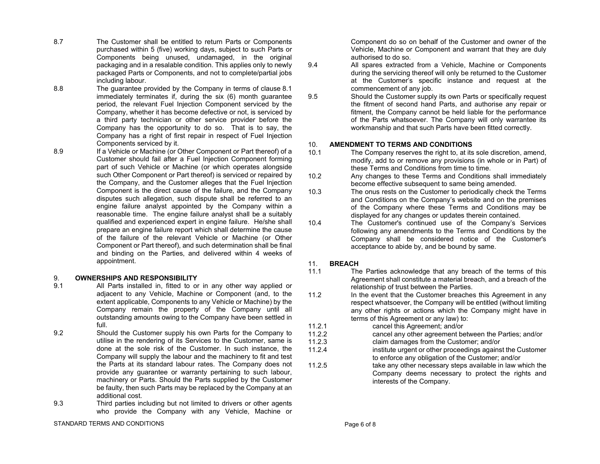- 8.7 The Customer shall be entitled to return Parts or Components purchased within 5 (five) working days, subject to such Parts or Components being unused, undamaged, in the original packaging and in a resalable condition. This applies only to newly packaged Parts or Components, and not to complete/partial jobs including labour.
- 8.8 The guarantee provided by the Company in terms of clause 8.1 immediately terminates if, during the six (6) month guarantee period, the relevant Fuel Injection Component serviced by the Company, whether it has become defective or not, is serviced by a third party technician or other service provider before the Company has the opportunity to do so. That is to say, the Company has a right of first repair in respect of Fuel Injection Components serviced by it.
- 8.9 **If a Vehicle or Machine (or Other Component or Part thereof) of a** Customer should fail after a Fuel Injection Component forming part of such Vehicle or Machine (or which operates alongside such Other Component or Part thereof) is serviced or repaired by the Company, and the Customer alleges that the Fuel Injection Component is the direct cause of the failure, and the Company disputes such allegation, such dispute shall be referred to an engine failure analyst appointed by the Company within a reasonable time. The engine failure analyst shall be a suitably qualified and experienced expert in engine failure. He/she shall prepare an engine failure report which shall determine the cause of the failure of the relevant Vehicle or Machine (or Other Component or Part thereof), and such determination shall be final and binding on the Parties, and delivered within 4 weeks of appointment.

### 9. **OWNERSHIPS AND RESPONSIBILITY**

- 9.1 All Parts installed in, fitted to or in any other way applied or adjacent to any Vehicle, Machine or Component (and, to the extent applicable, Components to any Vehicle or Machine) by the Company remain the property of the Company until all outstanding amounts owing to the Company have been settled in full.
- 9.2 Should the Customer supply his own Parts for the Company to utilise in the rendering of its Services to the Customer, same is done at the sole risk of the Customer. In such instance, the Company will supply the labour and the machinery to fit and test the Parts at its standard labour rates. The Company does not provide any guarantee or warranty pertaining to such labour, machinery or Parts. Should the Parts supplied by the Customer be faulty, then such Parts may be replaced by the Company at an additional cost.
- 9.3 Third parties including but not limited to drivers or other agents who provide the Company with any Vehicle, Machine or

STANDARD TERMS AND CONDITIONS

Component do so on behalf of the Customer and owner of the Vehicle, Machine or Component and warrant that they are duly authorised to do so.

- 9.4 All spares extracted from a Vehicle, Machine or Components during the servicing thereof will only be returned to the Customer at the Customer's specific instance and request at the commencement of any job.
- 9.5 Should the Customer supply its own Parts or specifically request the fitment of second hand Parts, and authorise any repair or fitment, the Company cannot be held liable for the performance of the Parts whatsoever. The Company will only warrantee its workmanship and that such Parts have been fitted correctly.

## 10. **AMENDMENT TO TERMS AND CONDITIONS**

- 10.1 The Company reserves the right to, at its sole discretion, amend, modify, add to or remove any provisions (in whole or in Part) of these Terms and Conditions from time to time.
- 10.2 Any changes to these Terms and Conditions shall immediately become effective subsequent to same being amended.
- 10.3 The onus rests on the Customer to periodically check the Terms and Conditions on the Company's website and on the premises of the Company where these Terms and Conditions may be displayed for any changes or updates therein contained.
- 10.4 The Customer's continued use of the Company's Services following any amendments to the Terms and Conditions by the Company shall be considered notice of the Customer's acceptance to abide by, and be bound by same.

# 11. **BREACH**

- 11.1 The Parties acknowledge that any breach of the terms of this Agreement shall constitute a material breach, and a breach of the relationship of trust between the Parties.
- 11.2 In the event that the Customer breaches this Agreement in any respect whatsoever, the Company will be entitled (without limiting any other rights or actions which the Company might have in terms of this Agreement or any law) to:
- 11.2.1 cancel this Agreement; and/or<br>11.2.2 cancel any other agreement be
	- cancel any other agreement between the Parties; and/or
- 11.2.3 claim damages from the Customer; and/or
- 11.2.4 institute urgent or other proceedings against the Customer to enforce any obligation of the Customer; and/or
- 11.2.5 take any other necessary steps available in law which the Company deems necessary to protect the rights and interests of the Company.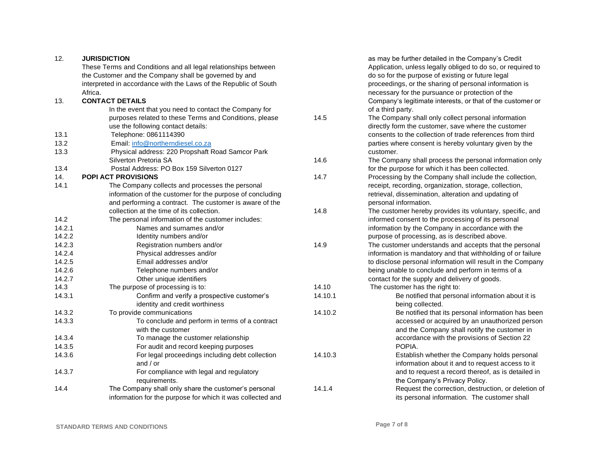| 12.    | <b>JURISDICTION</b>                                              |         | as may be further detailed in the Company's Credit           |
|--------|------------------------------------------------------------------|---------|--------------------------------------------------------------|
|        | These Terms and Conditions and all legal relationships between   |         | Application, unless legally obliged to do so, or required to |
|        | the Customer and the Company shall be governed by and            |         | do so for the purpose of existing or future legal            |
|        | interpreted in accordance with the Laws of the Republic of South |         | proceedings, or the sharing of personal information is       |
|        | Africa.                                                          |         | necessary for the pursuance or protection of the             |
| 13.    | <b>CONTACT DETAILS</b>                                           |         | Company's legitimate interests, or that of the customer or   |
|        | In the event that you need to contact the Company for            |         | of a third party.                                            |
|        | purposes related to these Terms and Conditions, please           | 14.5    | The Company shall only collect personal information          |
|        | use the following contact details:                               |         | directly form the customer, save where the customer          |
| 13.1   | Telephone: 0861114390                                            |         | consents to the collection of trade references from third    |
| 13.2   | Email: info@northerndiesel.co.za                                 |         | parties where consent is hereby voluntary given by the       |
| 13.3   | Physical address: 220 Propshaft Road Samcor Park                 |         | customer.                                                    |
|        | Silverton Pretoria SA                                            | 14.6    | The Company shall process the personal information only      |
| 13.4   | Postal Address: PO Box 159 Silverton 0127                        |         | for the purpose for which it has been collected.             |
| 14.    | <b>POPI ACT PROVISIONS</b>                                       | 14.7    | Processing by the Company shall include the collection,      |
| 14.1   | The Company collects and processes the personal                  |         | receipt, recording, organization, storage, collection,       |
|        | information of the customer for the purpose of concluding        |         | retrieval, dissemination, alteration and updating of         |
|        | and performing a contract. The customer is aware of the          |         | personal information.                                        |
|        | collection at the time of its collection.                        | 14.8    | The customer hereby provides its voluntary, specific, and    |
| 14.2   | The personal information of the customer includes:               |         | informed consent to the processing of its personal           |
| 14.2.1 | Names and surnames and/or                                        |         | information by the Company in accordance with the            |
| 14.2.2 | Identity numbers and/or                                          |         | purpose of processing, as is described above.                |
| 14.2.3 | Registration numbers and/or                                      | 14.9    | The customer understands and accepts that the personal       |
| 14.2.4 | Physical addresses and/or                                        |         | information is mandatory and that withholding of or failure  |
| 14.2.5 | Email addresses and/or                                           |         | to disclose personal information will result in the Company  |
| 14.2.6 | Telephone numbers and/or                                         |         | being unable to conclude and perform in terms of a           |
| 14.2.7 | Other unique identifiers                                         |         | contact for the supply and delivery of goods.                |
| 14.3   | The purpose of processing is to:                                 | 14.10   | The customer has the right to:                               |
| 14.3.1 | Confirm and verify a prospective customer's                      | 14.10.1 | Be notified that personal information about it is            |
|        | identity and credit worthiness                                   |         | being collected.                                             |
| 14.3.2 | To provide communications                                        | 14.10.2 | Be notified that its personal information has been           |
| 14.3.3 | To conclude and perform in terms of a contract                   |         | accessed or acquired by an unauthorized person               |
|        | with the customer                                                |         | and the Company shall notify the customer in                 |
| 14.3.4 | To manage the customer relationship                              |         | accordance with the provisions of Section 22                 |
| 14.3.5 | For audit and record keeping purposes                            |         | POPIA.                                                       |
| 14.3.6 | For legal proceedings including debt collection                  | 14.10.3 | Establish whether the Company holds personal                 |
|        | and $/$ or                                                       |         | information about it and to request access to it             |
| 14.3.7 | For compliance with legal and regulatory                         |         | and to request a record thereof, as is detailed in           |
|        | requirements.                                                    |         | the Company's Privacy Policy.                                |
| 14.4   | The Company shall only share the customer's personal             | 14.1.4  | Request the correction, destruction, or deletion of          |
|        | information for the purpose for which it was collected and       |         | its personal information. The customer shall                 |